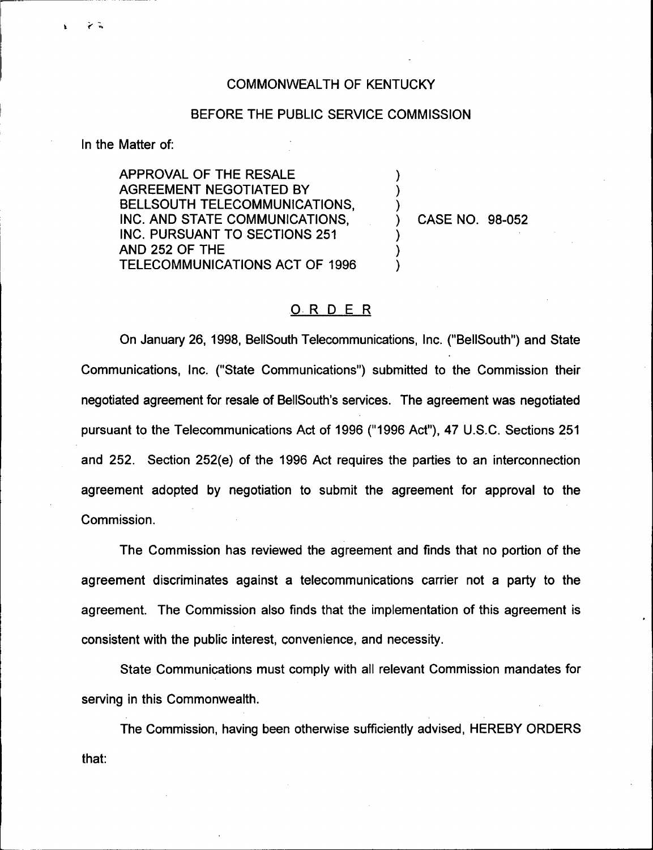## COMMONWEALTH OF KENTUCKY

## BEFORE THE PUBLIC SERVICE COMMISSION

) ) )

> ) ) )

In the Matter of:

 $\geq$  3

APPROVAL OF THE RESALE AGREEMENT NEGOTIATED BY BELLSOUTH TELECOMMUNICATIONS, INC. AND STATE COMMUNICATIONS, INC. PURSUANT TO SECTIONS 251 AND 252 OF THE TELECOMMUNICATIONS ACT OF 1996

) CASE NO. 98-052

## ORDER

On January 26, 1998, BellSouth Telecommunications, Inc. ("BellSouth") and State Communications, Inc. ("State Communications") submitted to the Commission their negotiated agreement for resale of BelISouth's services. The agreement was negotiated pursuant to the Telecommunications Act of 1996 ("1996 Act"), 47 U.S.C. Sections 251 and 252. Section 252(e) of the 1996 Act requires the parties to an interconnection agreement adopted by negotiation to submit the agreement for approval to the Commission.

The Commission has reviewed the agreement and finds that no portion of the agreement discriminates against a telecommunications carrier not a party to the agreement. The Commission also finds that the implementation of this agreement is consistent with the public interest, convenience, and necessity.

State Communications must comply with all relevant Commission mandates for serving in this Commonwealth.

The Commission, having been otherwise sufficiently advised, HEREBY ORDERSthat: